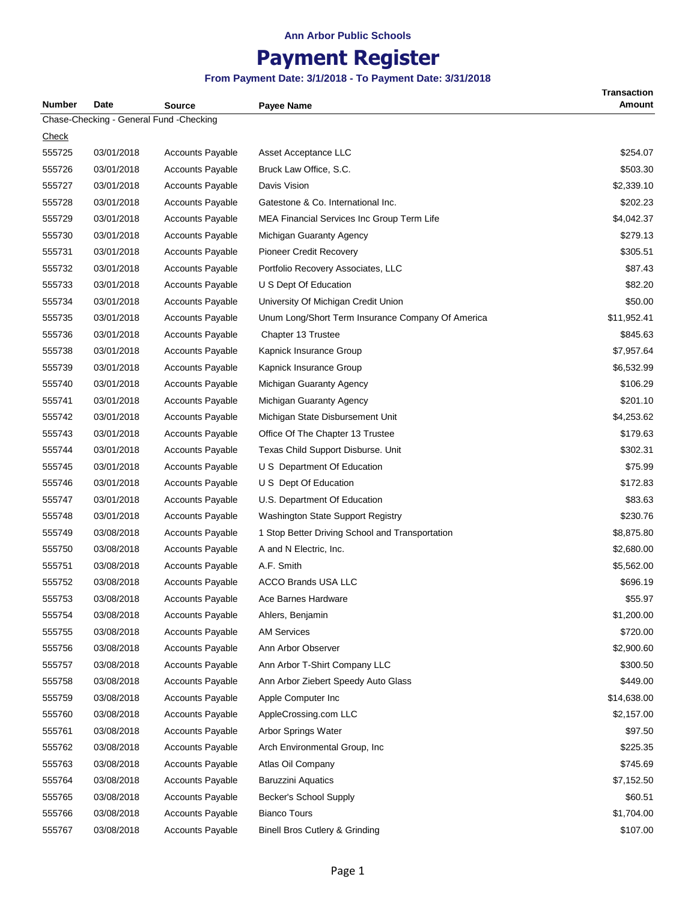# **Payment Register**

| Number       | Date       | <b>Source</b>                           | Payee Name                                        | <b>Transaction</b><br><b>Amount</b> |
|--------------|------------|-----------------------------------------|---------------------------------------------------|-------------------------------------|
|              |            | Chase-Checking - General Fund -Checking |                                                   |                                     |
| <b>Check</b> |            |                                         |                                                   |                                     |
| 555725       | 03/01/2018 | <b>Accounts Payable</b>                 | Asset Acceptance LLC                              | \$254.07                            |
| 555726       | 03/01/2018 | <b>Accounts Payable</b>                 | Bruck Law Office, S.C.                            | \$503.30                            |
| 555727       | 03/01/2018 | <b>Accounts Payable</b>                 | Davis Vision                                      | \$2,339.10                          |
| 555728       | 03/01/2018 | <b>Accounts Payable</b>                 | Gatestone & Co. International Inc.                | \$202.23                            |
| 555729       | 03/01/2018 | <b>Accounts Payable</b>                 | MEA Financial Services Inc Group Term Life        | \$4,042.37                          |
| 555730       | 03/01/2018 | <b>Accounts Payable</b>                 | Michigan Guaranty Agency                          | \$279.13                            |
| 555731       | 03/01/2018 | <b>Accounts Payable</b>                 | Pioneer Credit Recovery                           | \$305.51                            |
| 555732       | 03/01/2018 | <b>Accounts Payable</b>                 | Portfolio Recovery Associates, LLC                | \$87.43                             |
| 555733       | 03/01/2018 | <b>Accounts Payable</b>                 | U S Dept Of Education                             | \$82.20                             |
| 555734       | 03/01/2018 | <b>Accounts Payable</b>                 | University Of Michigan Credit Union               | \$50.00                             |
| 555735       | 03/01/2018 | <b>Accounts Payable</b>                 | Unum Long/Short Term Insurance Company Of America | \$11,952.41                         |
| 555736       | 03/01/2018 | <b>Accounts Payable</b>                 | Chapter 13 Trustee                                | \$845.63                            |
| 555738       | 03/01/2018 | <b>Accounts Payable</b>                 | Kapnick Insurance Group                           | \$7,957.64                          |
| 555739       | 03/01/2018 | <b>Accounts Payable</b>                 | Kapnick Insurance Group                           | \$6,532.99                          |
| 555740       | 03/01/2018 | <b>Accounts Payable</b>                 | Michigan Guaranty Agency                          | \$106.29                            |
| 555741       | 03/01/2018 | <b>Accounts Payable</b>                 | Michigan Guaranty Agency                          | \$201.10                            |
| 555742       | 03/01/2018 | <b>Accounts Payable</b>                 | Michigan State Disbursement Unit                  | \$4,253.62                          |
| 555743       | 03/01/2018 | <b>Accounts Payable</b>                 | Office Of The Chapter 13 Trustee                  | \$179.63                            |
| 555744       | 03/01/2018 | <b>Accounts Payable</b>                 | Texas Child Support Disburse. Unit                | \$302.31                            |
| 555745       | 03/01/2018 | <b>Accounts Payable</b>                 | U S Department Of Education                       | \$75.99                             |
| 555746       | 03/01/2018 | <b>Accounts Payable</b>                 | U S Dept Of Education                             | \$172.83                            |
| 555747       | 03/01/2018 | <b>Accounts Payable</b>                 | U.S. Department Of Education                      | \$83.63                             |
| 555748       | 03/01/2018 | <b>Accounts Payable</b>                 | Washington State Support Registry                 | \$230.76                            |
| 555749       | 03/08/2018 | <b>Accounts Payable</b>                 | 1 Stop Better Driving School and Transportation   | \$8,875.80                          |
| 555750       | 03/08/2018 | <b>Accounts Payable</b>                 | A and N Electric, Inc.                            | \$2,680.00                          |
| 555751       | 03/08/2018 | <b>Accounts Payable</b>                 | A.F. Smith                                        | \$5,562.00                          |
| 555752       | 03/08/2018 | <b>Accounts Payable</b>                 | <b>ACCO Brands USA LLC</b>                        | \$696.19                            |
| 555753       | 03/08/2018 | <b>Accounts Payable</b>                 | Ace Barnes Hardware                               | \$55.97                             |
| 555754       | 03/08/2018 | <b>Accounts Payable</b>                 | Ahlers, Benjamin                                  | \$1,200.00                          |
| 555755       | 03/08/2018 | <b>Accounts Payable</b>                 | <b>AM Services</b>                                | \$720.00                            |
| 555756       | 03/08/2018 | <b>Accounts Payable</b>                 | Ann Arbor Observer                                | \$2,900.60                          |
| 555757       | 03/08/2018 | <b>Accounts Payable</b>                 | Ann Arbor T-Shirt Company LLC                     | \$300.50                            |
| 555758       | 03/08/2018 | <b>Accounts Payable</b>                 | Ann Arbor Ziebert Speedy Auto Glass               | \$449.00                            |
| 555759       | 03/08/2018 | <b>Accounts Payable</b>                 | Apple Computer Inc                                | \$14,638.00                         |
| 555760       | 03/08/2018 | <b>Accounts Payable</b>                 | AppleCrossing.com LLC                             | \$2,157.00                          |
| 555761       | 03/08/2018 | <b>Accounts Payable</b>                 | Arbor Springs Water                               | \$97.50                             |
| 555762       | 03/08/2018 | <b>Accounts Payable</b>                 | Arch Environmental Group, Inc.                    | \$225.35                            |
| 555763       | 03/08/2018 | <b>Accounts Payable</b>                 | Atlas Oil Company                                 | \$745.69                            |
| 555764       | 03/08/2018 | <b>Accounts Payable</b>                 | <b>Baruzzini Aquatics</b>                         | \$7,152.50                          |
| 555765       | 03/08/2018 | <b>Accounts Payable</b>                 | Becker's School Supply                            | \$60.51                             |
| 555766       | 03/08/2018 | <b>Accounts Payable</b>                 | <b>Bianco Tours</b>                               | \$1,704.00                          |
| 555767       | 03/08/2018 | <b>Accounts Payable</b>                 | Binell Bros Cutlery & Grinding                    | \$107.00                            |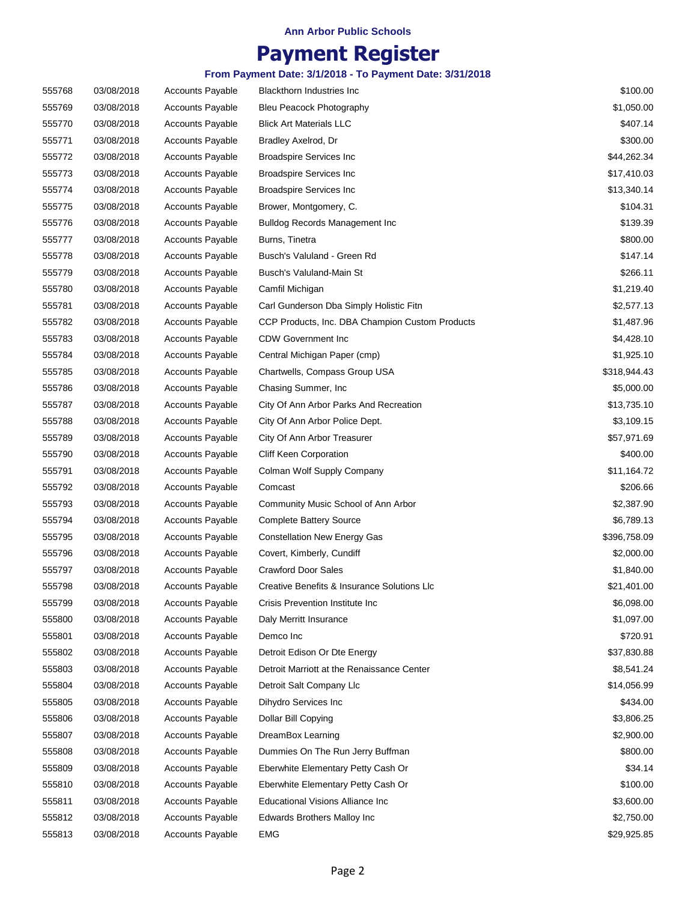## **Payment Register**

| 555768 | 03/08/2018 | <b>Accounts Payable</b> | <b>Blackthorn Industries Inc.</b>               | \$100.00     |
|--------|------------|-------------------------|-------------------------------------------------|--------------|
| 555769 | 03/08/2018 | <b>Accounts Payable</b> | Bleu Peacock Photography                        | \$1,050.00   |
| 555770 | 03/08/2018 | <b>Accounts Payable</b> | <b>Blick Art Materials LLC</b>                  | \$407.14     |
| 555771 | 03/08/2018 | <b>Accounts Payable</b> | Bradley Axelrod, Dr                             | \$300.00     |
| 555772 | 03/08/2018 | <b>Accounts Payable</b> | <b>Broadspire Services Inc</b>                  | \$44,262.34  |
| 555773 | 03/08/2018 | <b>Accounts Payable</b> | <b>Broadspire Services Inc</b>                  | \$17,410.03  |
| 555774 | 03/08/2018 | <b>Accounts Payable</b> | <b>Broadspire Services Inc</b>                  | \$13,340.14  |
| 555775 | 03/08/2018 | <b>Accounts Payable</b> | Brower, Montgomery, C.                          | \$104.31     |
| 555776 | 03/08/2018 | <b>Accounts Payable</b> | <b>Bulldog Records Management Inc.</b>          | \$139.39     |
| 555777 | 03/08/2018 | <b>Accounts Payable</b> | Burns, Tinetra                                  | \$800.00     |
| 555778 | 03/08/2018 | <b>Accounts Payable</b> | Busch's Valuland - Green Rd                     | \$147.14     |
| 555779 | 03/08/2018 | <b>Accounts Payable</b> | Busch's Valuland-Main St                        | \$266.11     |
| 555780 | 03/08/2018 | <b>Accounts Payable</b> | Camfil Michigan                                 | \$1,219.40   |
| 555781 | 03/08/2018 | <b>Accounts Payable</b> | Carl Gunderson Dba Simply Holistic Fitn         | \$2,577.13   |
| 555782 | 03/08/2018 | <b>Accounts Payable</b> | CCP Products, Inc. DBA Champion Custom Products | \$1,487.96   |
| 555783 | 03/08/2018 | <b>Accounts Payable</b> | <b>CDW Government Inc.</b>                      | \$4,428.10   |
| 555784 | 03/08/2018 | <b>Accounts Payable</b> | Central Michigan Paper (cmp)                    | \$1,925.10   |
| 555785 | 03/08/2018 | <b>Accounts Payable</b> | Chartwells, Compass Group USA                   | \$318,944.43 |
| 555786 | 03/08/2018 | <b>Accounts Payable</b> | Chasing Summer, Inc.                            | \$5,000.00   |
| 555787 | 03/08/2018 | <b>Accounts Payable</b> | City Of Ann Arbor Parks And Recreation          | \$13,735.10  |
| 555788 | 03/08/2018 | <b>Accounts Payable</b> | City Of Ann Arbor Police Dept.                  | \$3,109.15   |
| 555789 | 03/08/2018 | <b>Accounts Payable</b> | City Of Ann Arbor Treasurer                     | \$57,971.69  |
| 555790 | 03/08/2018 | <b>Accounts Payable</b> | Cliff Keen Corporation                          | \$400.00     |
| 555791 | 03/08/2018 | <b>Accounts Payable</b> | Colman Wolf Supply Company                      | \$11,164.72  |
| 555792 | 03/08/2018 | <b>Accounts Payable</b> | Comcast                                         | \$206.66     |
| 555793 | 03/08/2018 | <b>Accounts Payable</b> | Community Music School of Ann Arbor             | \$2,387.90   |
| 555794 | 03/08/2018 | <b>Accounts Payable</b> | <b>Complete Battery Source</b>                  | \$6,789.13   |
| 555795 | 03/08/2018 | <b>Accounts Payable</b> | <b>Constellation New Energy Gas</b>             | \$396,758.09 |
| 555796 | 03/08/2018 | <b>Accounts Payable</b> | Covert, Kimberly, Cundiff                       | \$2,000.00   |
| 555797 | 03/08/2018 | <b>Accounts Payable</b> | <b>Crawford Door Sales</b>                      | \$1,840.00   |
| 555798 | 03/08/2018 | <b>Accounts Payable</b> | Creative Benefits & Insurance Solutions LIc     | \$21,401.00  |
| 555799 | 03/08/2018 | <b>Accounts Payable</b> | Crisis Prevention Institute Inc                 | \$6,098.00   |
| 555800 | 03/08/2018 | <b>Accounts Payable</b> | Daly Merritt Insurance                          | \$1,097.00   |
| 555801 | 03/08/2018 | <b>Accounts Payable</b> | Demco Inc                                       | \$720.91     |
| 555802 | 03/08/2018 | <b>Accounts Payable</b> | Detroit Edison Or Dte Energy                    | \$37,830.88  |
| 555803 | 03/08/2018 | <b>Accounts Payable</b> | Detroit Marriott at the Renaissance Center      | \$8,541.24   |
| 555804 | 03/08/2018 | <b>Accounts Payable</b> | Detroit Salt Company Llc                        | \$14,056.99  |
| 555805 | 03/08/2018 | <b>Accounts Payable</b> | Dihydro Services Inc                            | \$434.00     |
| 555806 | 03/08/2018 | <b>Accounts Payable</b> | Dollar Bill Copying                             | \$3,806.25   |
| 555807 | 03/08/2018 | <b>Accounts Payable</b> | DreamBox Learning                               | \$2,900.00   |
| 555808 | 03/08/2018 | <b>Accounts Payable</b> | Dummies On The Run Jerry Buffman                | \$800.00     |
| 555809 | 03/08/2018 | <b>Accounts Payable</b> | Eberwhite Elementary Petty Cash Or              | \$34.14      |
| 555810 | 03/08/2018 | <b>Accounts Payable</b> | Eberwhite Elementary Petty Cash Or              | \$100.00     |
| 555811 | 03/08/2018 | <b>Accounts Payable</b> | Educational Visions Alliance Inc                | \$3,600.00   |
| 555812 | 03/08/2018 | <b>Accounts Payable</b> | <b>Edwards Brothers Malloy Inc</b>              | \$2,750.00   |
| 555813 | 03/08/2018 | <b>Accounts Payable</b> | EMG                                             | \$29,925.85  |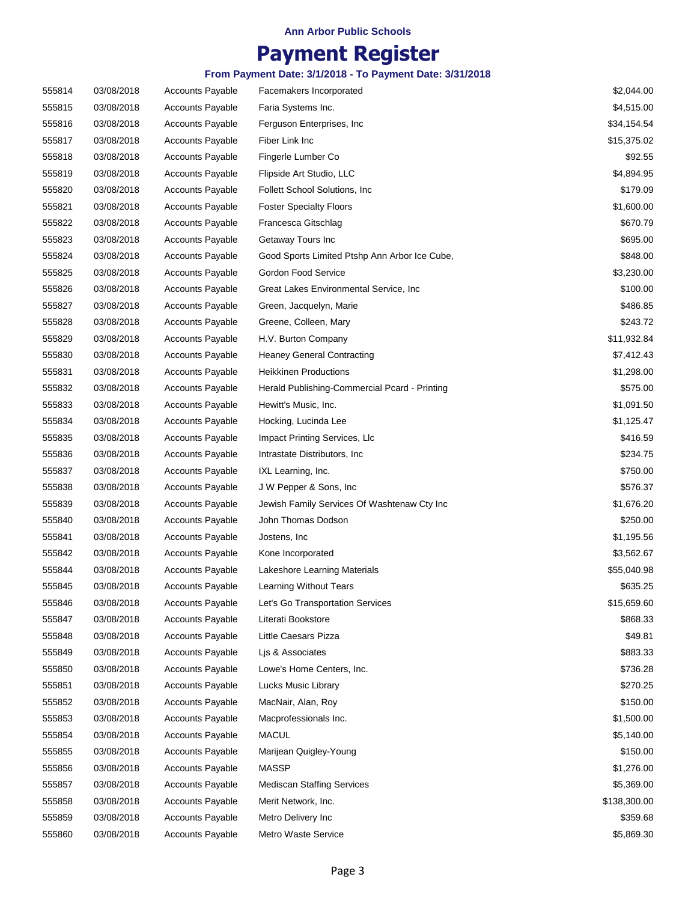## **Payment Register**

| 555814 | 03/08/2018 | <b>Accounts Payable</b> | Facemakers Incorporated                       | \$2,044.00   |
|--------|------------|-------------------------|-----------------------------------------------|--------------|
| 555815 | 03/08/2018 | <b>Accounts Payable</b> | Faria Systems Inc.                            | \$4,515.00   |
| 555816 | 03/08/2018 | <b>Accounts Payable</b> | Ferguson Enterprises, Inc.                    | \$34,154.54  |
| 555817 | 03/08/2018 | <b>Accounts Payable</b> | Fiber Link Inc                                | \$15,375.02  |
| 555818 | 03/08/2018 | <b>Accounts Payable</b> | Fingerle Lumber Co                            | \$92.55      |
| 555819 | 03/08/2018 | <b>Accounts Payable</b> | Flipside Art Studio, LLC                      | \$4,894.95   |
| 555820 | 03/08/2018 | <b>Accounts Payable</b> | Follett School Solutions, Inc.                | \$179.09     |
| 555821 | 03/08/2018 | <b>Accounts Payable</b> | <b>Foster Specialty Floors</b>                | \$1,600.00   |
| 555822 | 03/08/2018 | <b>Accounts Payable</b> | Francesca Gitschlag                           | \$670.79     |
| 555823 | 03/08/2018 | <b>Accounts Payable</b> | Getaway Tours Inc                             | \$695.00     |
| 555824 | 03/08/2018 | <b>Accounts Payable</b> | Good Sports Limited Ptshp Ann Arbor Ice Cube, | \$848.00     |
| 555825 | 03/08/2018 | <b>Accounts Payable</b> | Gordon Food Service                           | \$3,230.00   |
| 555826 | 03/08/2018 | <b>Accounts Payable</b> | Great Lakes Environmental Service, Inc.       | \$100.00     |
| 555827 | 03/08/2018 | <b>Accounts Payable</b> | Green, Jacquelyn, Marie                       | \$486.85     |
| 555828 | 03/08/2018 | <b>Accounts Payable</b> | Greene, Colleen, Mary                         | \$243.72     |
| 555829 | 03/08/2018 | <b>Accounts Payable</b> | H.V. Burton Company                           | \$11,932.84  |
| 555830 | 03/08/2018 | <b>Accounts Payable</b> | <b>Heaney General Contracting</b>             | \$7,412.43   |
| 555831 | 03/08/2018 | <b>Accounts Payable</b> | <b>Heikkinen Productions</b>                  | \$1,298.00   |
| 555832 | 03/08/2018 | <b>Accounts Payable</b> | Herald Publishing-Commercial Pcard - Printing | \$575.00     |
| 555833 | 03/08/2018 | <b>Accounts Payable</b> | Hewitt's Music, Inc.                          | \$1,091.50   |
| 555834 | 03/08/2018 | <b>Accounts Payable</b> | Hocking, Lucinda Lee                          | \$1,125.47   |
| 555835 | 03/08/2018 | <b>Accounts Payable</b> | Impact Printing Services, Llc                 | \$416.59     |
| 555836 | 03/08/2018 | <b>Accounts Payable</b> | Intrastate Distributors, Inc.                 | \$234.75     |
| 555837 | 03/08/2018 | <b>Accounts Payable</b> | IXL Learning, Inc.                            | \$750.00     |
| 555838 | 03/08/2018 | <b>Accounts Payable</b> | J W Pepper & Sons, Inc.                       | \$576.37     |
| 555839 | 03/08/2018 | <b>Accounts Payable</b> | Jewish Family Services Of Washtenaw Cty Inc   | \$1,676.20   |
| 555840 | 03/08/2018 | <b>Accounts Payable</b> | John Thomas Dodson                            | \$250.00     |
| 555841 | 03/08/2018 | <b>Accounts Payable</b> | Jostens, Inc.                                 | \$1,195.56   |
| 555842 | 03/08/2018 | <b>Accounts Payable</b> | Kone Incorporated                             | \$3,562.67   |
| 555844 | 03/08/2018 | <b>Accounts Payable</b> | Lakeshore Learning Materials                  | \$55,040.98  |
| 555845 | 03/08/2018 | <b>Accounts Payable</b> | Learning Without Tears                        | \$635.25     |
| 555846 | 03/08/2018 | <b>Accounts Payable</b> | Let's Go Transportation Services              | \$15,659.60  |
| 555847 | 03/08/2018 | <b>Accounts Payable</b> | Literati Bookstore                            | \$868.33     |
| 555848 | 03/08/2018 | <b>Accounts Payable</b> | Little Caesars Pizza                          | \$49.81      |
| 555849 | 03/08/2018 | Accounts Payable        | Lis & Associates                              | \$883.33     |
| 555850 | 03/08/2018 | <b>Accounts Payable</b> | Lowe's Home Centers, Inc.                     | \$736.28     |
| 555851 | 03/08/2018 | Accounts Payable        | Lucks Music Library                           | \$270.25     |
| 555852 | 03/08/2018 | <b>Accounts Payable</b> | MacNair, Alan, Roy                            | \$150.00     |
| 555853 | 03/08/2018 | <b>Accounts Payable</b> | Macprofessionals Inc.                         | \$1,500.00   |
| 555854 | 03/08/2018 | Accounts Payable        | <b>MACUL</b>                                  | \$5,140.00   |
| 555855 | 03/08/2018 | <b>Accounts Payable</b> | Marijean Quigley-Young                        | \$150.00     |
| 555856 | 03/08/2018 | <b>Accounts Payable</b> | <b>MASSP</b>                                  | \$1,276.00   |
| 555857 | 03/08/2018 | <b>Accounts Payable</b> | <b>Mediscan Staffing Services</b>             | \$5,369.00   |
| 555858 | 03/08/2018 | <b>Accounts Payable</b> | Merit Network, Inc.                           | \$138,300.00 |
| 555859 | 03/08/2018 | Accounts Payable        | Metro Delivery Inc                            | \$359.68     |
| 555860 | 03/08/2018 | <b>Accounts Payable</b> | Metro Waste Service                           | \$5,869.30   |
|        |            |                         |                                               |              |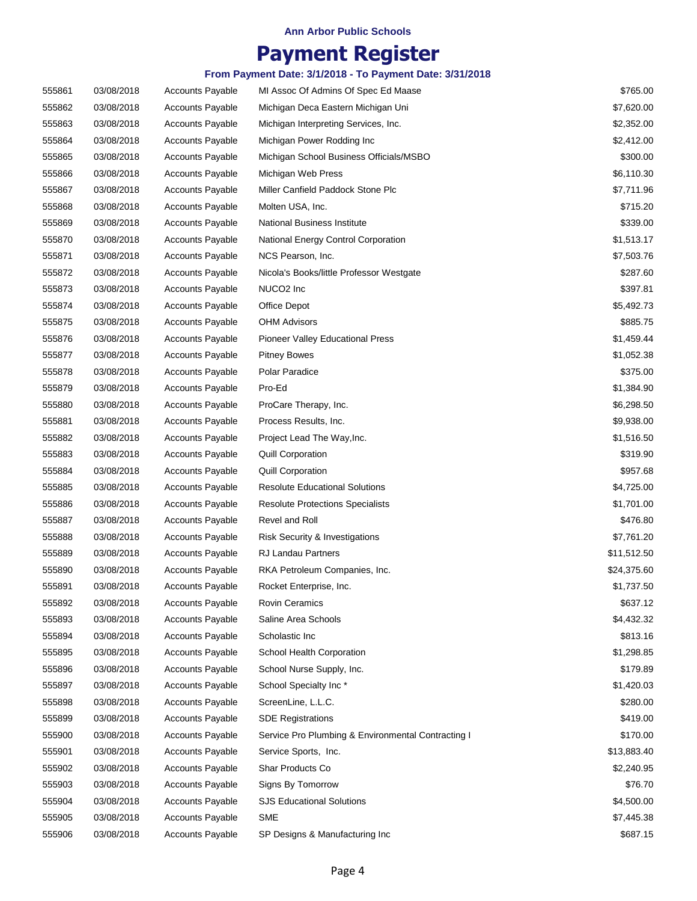## **Payment Register**

| 555861 | 03/08/2018 | <b>Accounts Payable</b> | MI Assoc Of Admins Of Spec Ed Maase                | \$765.00    |
|--------|------------|-------------------------|----------------------------------------------------|-------------|
| 555862 | 03/08/2018 | <b>Accounts Payable</b> | Michigan Deca Eastern Michigan Uni                 | \$7,620.00  |
| 555863 | 03/08/2018 | <b>Accounts Payable</b> | Michigan Interpreting Services, Inc.               | \$2,352.00  |
| 555864 | 03/08/2018 | <b>Accounts Payable</b> | Michigan Power Rodding Inc                         | \$2,412.00  |
| 555865 | 03/08/2018 | <b>Accounts Payable</b> | Michigan School Business Officials/MSBO            | \$300.00    |
| 555866 | 03/08/2018 | <b>Accounts Payable</b> | Michigan Web Press                                 | \$6,110.30  |
| 555867 | 03/08/2018 | <b>Accounts Payable</b> | Miller Canfield Paddock Stone Plc                  | \$7,711.96  |
| 555868 | 03/08/2018 | <b>Accounts Payable</b> | Molten USA, Inc.                                   | \$715.20    |
| 555869 | 03/08/2018 | <b>Accounts Payable</b> | <b>National Business Institute</b>                 | \$339.00    |
| 555870 | 03/08/2018 | <b>Accounts Payable</b> | National Energy Control Corporation                | \$1,513.17  |
| 555871 | 03/08/2018 | <b>Accounts Payable</b> | NCS Pearson, Inc.                                  | \$7,503.76  |
| 555872 | 03/08/2018 | Accounts Payable        | Nicola's Books/little Professor Westgate           | \$287.60    |
| 555873 | 03/08/2018 | <b>Accounts Payable</b> | NUCO <sub>2</sub> Inc                              | \$397.81    |
| 555874 | 03/08/2018 | <b>Accounts Payable</b> | Office Depot                                       | \$5,492.73  |
| 555875 | 03/08/2018 | <b>Accounts Payable</b> | <b>OHM Advisors</b>                                | \$885.75    |
| 555876 | 03/08/2018 | <b>Accounts Payable</b> | <b>Pioneer Valley Educational Press</b>            | \$1,459.44  |
| 555877 | 03/08/2018 | <b>Accounts Payable</b> | <b>Pitney Bowes</b>                                | \$1,052.38  |
| 555878 | 03/08/2018 | <b>Accounts Payable</b> | Polar Paradice                                     | \$375.00    |
| 555879 | 03/08/2018 | <b>Accounts Payable</b> | Pro-Ed                                             | \$1,384.90  |
| 555880 | 03/08/2018 | <b>Accounts Payable</b> | ProCare Therapy, Inc.                              | \$6,298.50  |
| 555881 | 03/08/2018 | <b>Accounts Payable</b> | Process Results, Inc.                              | \$9,938.00  |
| 555882 | 03/08/2018 | <b>Accounts Payable</b> | Project Lead The Way, Inc.                         | \$1,516.50  |
| 555883 | 03/08/2018 | <b>Accounts Payable</b> | <b>Quill Corporation</b>                           | \$319.90    |
| 555884 | 03/08/2018 | <b>Accounts Payable</b> | <b>Quill Corporation</b>                           | \$957.68    |
| 555885 | 03/08/2018 | <b>Accounts Payable</b> | <b>Resolute Educational Solutions</b>              | \$4,725.00  |
| 555886 | 03/08/2018 | <b>Accounts Payable</b> | <b>Resolute Protections Specialists</b>            | \$1,701.00  |
| 555887 | 03/08/2018 | <b>Accounts Payable</b> | Revel and Roll                                     | \$476.80    |
| 555888 | 03/08/2018 | <b>Accounts Payable</b> | Risk Security & Investigations                     | \$7,761.20  |
| 555889 | 03/08/2018 | <b>Accounts Payable</b> | RJ Landau Partners                                 | \$11,512.50 |
| 555890 | 03/08/2018 | <b>Accounts Payable</b> | RKA Petroleum Companies, Inc.                      | \$24,375.60 |
| 555891 | 03/08/2018 | Accounts Payable        | Rocket Enterprise, Inc.                            | \$1,737.50  |
| 555892 | 03/08/2018 | Accounts Payable        | <b>Rovin Ceramics</b>                              | \$637.12    |
| 555893 | 03/08/2018 | <b>Accounts Payable</b> | Saline Area Schools                                | \$4,432.32  |
| 555894 | 03/08/2018 | <b>Accounts Payable</b> | Scholastic Inc                                     | \$813.16    |
| 555895 | 03/08/2018 | Accounts Payable        | School Health Corporation                          | \$1,298.85  |
| 555896 | 03/08/2018 | Accounts Payable        | School Nurse Supply, Inc.                          | \$179.89    |
| 555897 | 03/08/2018 | Accounts Payable        | School Specialty Inc*                              | \$1,420.03  |
| 555898 | 03/08/2018 | Accounts Payable        | ScreenLine, L.L.C.                                 | \$280.00    |
| 555899 | 03/08/2018 | <b>Accounts Payable</b> | <b>SDE Registrations</b>                           | \$419.00    |
| 555900 | 03/08/2018 | <b>Accounts Payable</b> | Service Pro Plumbing & Environmental Contracting I | \$170.00    |
| 555901 | 03/08/2018 | Accounts Payable        | Service Sports, Inc.                               | \$13,883.40 |
| 555902 | 03/08/2018 | <b>Accounts Payable</b> | Shar Products Co                                   | \$2,240.95  |
| 555903 | 03/08/2018 | Accounts Payable        | Signs By Tomorrow                                  | \$76.70     |
| 555904 | 03/08/2018 | Accounts Payable        | <b>SJS Educational Solutions</b>                   | \$4,500.00  |
| 555905 | 03/08/2018 | Accounts Payable        | <b>SME</b>                                         | \$7,445.38  |
| 555906 | 03/08/2018 | Accounts Payable        | SP Designs & Manufacturing Inc                     | \$687.15    |
|        |            |                         |                                                    |             |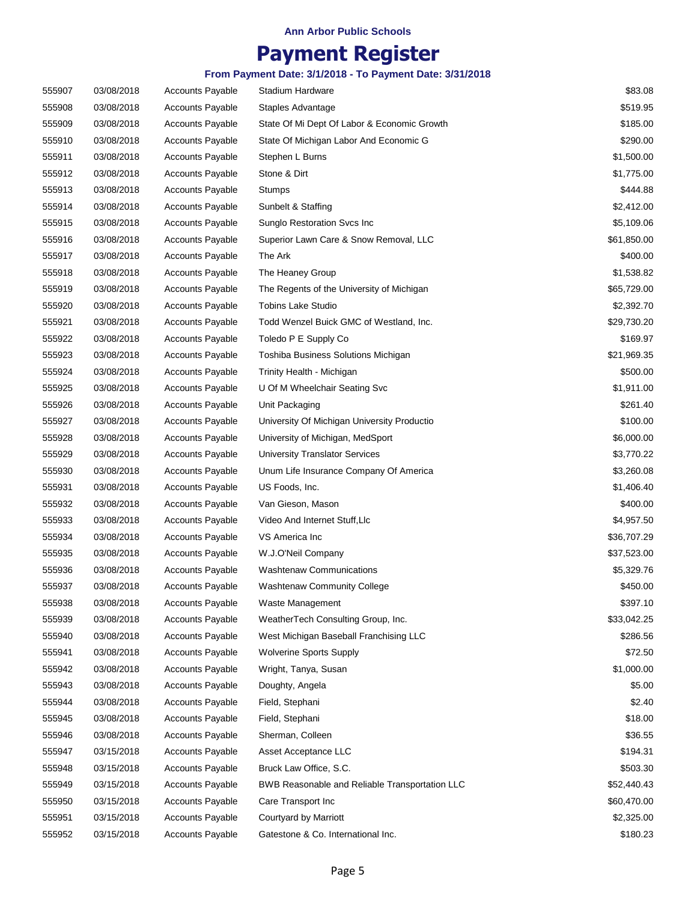## **Payment Register**

| 555907 | 03/08/2018 | <b>Accounts Payable</b> | Stadium Hardware                               | \$83.08     |
|--------|------------|-------------------------|------------------------------------------------|-------------|
| 555908 | 03/08/2018 | <b>Accounts Payable</b> | Staples Advantage                              | \$519.95    |
| 555909 | 03/08/2018 | <b>Accounts Payable</b> | State Of Mi Dept Of Labor & Economic Growth    | \$185.00    |
| 555910 | 03/08/2018 | <b>Accounts Payable</b> | State Of Michigan Labor And Economic G         | \$290.00    |
| 555911 | 03/08/2018 | <b>Accounts Payable</b> | Stephen L Burns                                | \$1,500.00  |
| 555912 | 03/08/2018 | <b>Accounts Payable</b> | Stone & Dirt                                   | \$1,775.00  |
| 555913 | 03/08/2018 | <b>Accounts Payable</b> | Stumps                                         | \$444.88    |
| 555914 | 03/08/2018 | <b>Accounts Payable</b> | Sunbelt & Staffing                             | \$2,412.00  |
| 555915 | 03/08/2018 | <b>Accounts Payable</b> | Sunglo Restoration Svcs Inc                    | \$5,109.06  |
| 555916 | 03/08/2018 | <b>Accounts Payable</b> | Superior Lawn Care & Snow Removal, LLC         | \$61,850.00 |
| 555917 | 03/08/2018 | <b>Accounts Payable</b> | The Ark                                        | \$400.00    |
| 555918 | 03/08/2018 | <b>Accounts Payable</b> | The Heaney Group                               | \$1,538.82  |
| 555919 | 03/08/2018 | <b>Accounts Payable</b> | The Regents of the University of Michigan      | \$65,729.00 |
| 555920 | 03/08/2018 | <b>Accounts Payable</b> | <b>Tobins Lake Studio</b>                      | \$2,392.70  |
| 555921 | 03/08/2018 | <b>Accounts Payable</b> | Todd Wenzel Buick GMC of Westland, Inc.        | \$29,730.20 |
| 555922 | 03/08/2018 | <b>Accounts Payable</b> | Toledo P E Supply Co                           | \$169.97    |
| 555923 | 03/08/2018 | <b>Accounts Payable</b> | Toshiba Business Solutions Michigan            | \$21,969.35 |
| 555924 | 03/08/2018 | <b>Accounts Payable</b> | Trinity Health - Michigan                      | \$500.00    |
| 555925 | 03/08/2018 | <b>Accounts Payable</b> | U Of M Wheelchair Seating Svc                  | \$1,911.00  |
| 555926 | 03/08/2018 | <b>Accounts Payable</b> | Unit Packaging                                 | \$261.40    |
| 555927 | 03/08/2018 | <b>Accounts Payable</b> | University Of Michigan University Productio    | \$100.00    |
| 555928 | 03/08/2018 | <b>Accounts Payable</b> | University of Michigan, MedSport               | \$6,000.00  |
| 555929 | 03/08/2018 | <b>Accounts Payable</b> | <b>University Translator Services</b>          | \$3,770.22  |
| 555930 | 03/08/2018 | <b>Accounts Payable</b> | Unum Life Insurance Company Of America         | \$3,260.08  |
| 555931 | 03/08/2018 | <b>Accounts Payable</b> | US Foods, Inc.                                 | \$1,406.40  |
| 555932 | 03/08/2018 | <b>Accounts Payable</b> | Van Gieson, Mason                              | \$400.00    |
| 555933 | 03/08/2018 | <b>Accounts Payable</b> | Video And Internet Stuff, Llc                  | \$4,957.50  |
| 555934 | 03/08/2018 | <b>Accounts Payable</b> | VS America Inc                                 | \$36,707.29 |
| 555935 | 03/08/2018 | <b>Accounts Payable</b> | W.J.O'Neil Company                             | \$37,523.00 |
| 555936 | 03/08/2018 | <b>Accounts Payable</b> | <b>Washtenaw Communications</b>                | \$5,329.76  |
| 555937 | 03/08/2018 | <b>Accounts Payable</b> | <b>Washtenaw Community College</b>             | \$450.00    |
| 555938 | 03/08/2018 | <b>Accounts Payable</b> | Waste Management                               | \$397.10    |
| 555939 | 03/08/2018 | <b>Accounts Payable</b> | WeatherTech Consulting Group, Inc.             | \$33,042.25 |
| 555940 | 03/08/2018 | <b>Accounts Payable</b> | West Michigan Baseball Franchising LLC         | \$286.56    |
| 555941 | 03/08/2018 | <b>Accounts Payable</b> | <b>Wolverine Sports Supply</b>                 | \$72.50     |
| 555942 | 03/08/2018 | <b>Accounts Payable</b> | Wright, Tanya, Susan                           | \$1,000.00  |
| 555943 | 03/08/2018 | Accounts Payable        | Doughty, Angela                                | \$5.00      |
| 555944 | 03/08/2018 | <b>Accounts Payable</b> | Field, Stephani                                | \$2.40      |
| 555945 | 03/08/2018 | <b>Accounts Payable</b> | Field, Stephani                                | \$18.00     |
| 555946 | 03/08/2018 | Accounts Payable        | Sherman, Colleen                               | \$36.55     |
| 555947 | 03/15/2018 | Accounts Payable        | Asset Acceptance LLC                           | \$194.31    |
| 555948 | 03/15/2018 | <b>Accounts Payable</b> | Bruck Law Office, S.C.                         | \$503.30    |
| 555949 | 03/15/2018 | <b>Accounts Payable</b> | BWB Reasonable and Reliable Transportation LLC | \$52,440.43 |
| 555950 | 03/15/2018 | <b>Accounts Payable</b> | Care Transport Inc                             | \$60,470.00 |
| 555951 | 03/15/2018 | <b>Accounts Payable</b> | Courtyard by Marriott                          | \$2,325.00  |
| 555952 | 03/15/2018 | Accounts Payable        | Gatestone & Co. International Inc.             | \$180.23    |
|        |            |                         |                                                |             |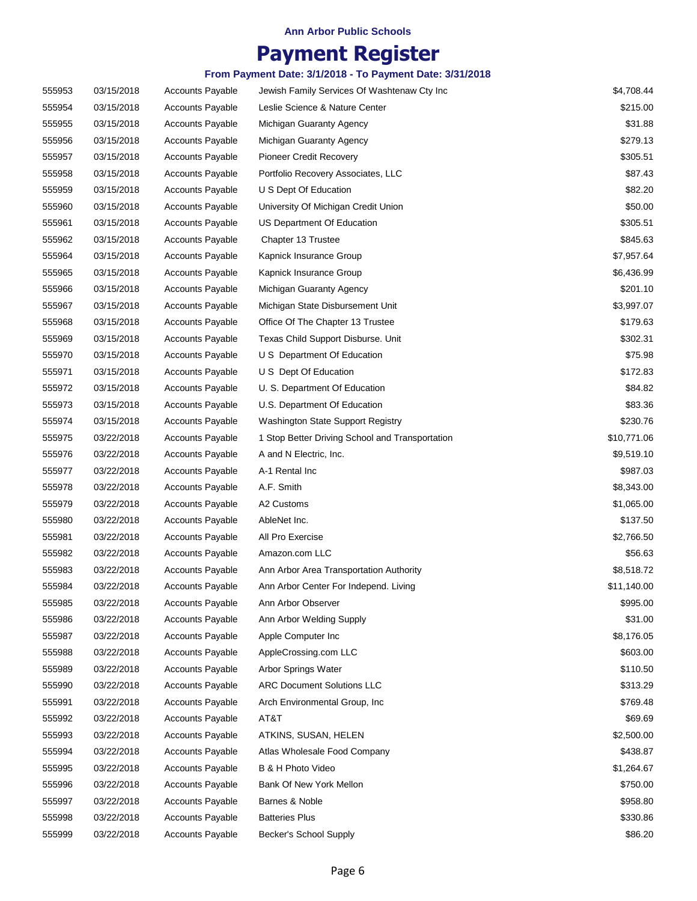## **Payment Register**

| 555953 | 03/15/2018 | <b>Accounts Payable</b> | Jewish Family Services Of Washtenaw Cty Inc     | \$4,708.44  |
|--------|------------|-------------------------|-------------------------------------------------|-------------|
| 555954 | 03/15/2018 | <b>Accounts Payable</b> | Leslie Science & Nature Center                  | \$215.00    |
| 555955 | 03/15/2018 | <b>Accounts Payable</b> | Michigan Guaranty Agency                        | \$31.88     |
| 555956 | 03/15/2018 | <b>Accounts Payable</b> | Michigan Guaranty Agency                        | \$279.13    |
| 555957 | 03/15/2018 | <b>Accounts Payable</b> | Pioneer Credit Recovery                         | \$305.51    |
| 555958 | 03/15/2018 | <b>Accounts Payable</b> | Portfolio Recovery Associates, LLC              | \$87.43     |
| 555959 | 03/15/2018 | <b>Accounts Payable</b> | U S Dept Of Education                           | \$82.20     |
| 555960 | 03/15/2018 | <b>Accounts Payable</b> | University Of Michigan Credit Union             | \$50.00     |
| 555961 | 03/15/2018 | <b>Accounts Payable</b> | US Department Of Education                      | \$305.51    |
| 555962 | 03/15/2018 | <b>Accounts Payable</b> | Chapter 13 Trustee                              | \$845.63    |
| 555964 | 03/15/2018 | <b>Accounts Payable</b> | Kapnick Insurance Group                         | \$7,957.64  |
| 555965 | 03/15/2018 | <b>Accounts Payable</b> | Kapnick Insurance Group                         | \$6,436.99  |
| 555966 | 03/15/2018 | <b>Accounts Payable</b> | Michigan Guaranty Agency                        | \$201.10    |
| 555967 | 03/15/2018 | <b>Accounts Payable</b> | Michigan State Disbursement Unit                | \$3,997.07  |
| 555968 | 03/15/2018 | <b>Accounts Payable</b> | Office Of The Chapter 13 Trustee                | \$179.63    |
| 555969 | 03/15/2018 | <b>Accounts Payable</b> | Texas Child Support Disburse. Unit              | \$302.31    |
| 555970 | 03/15/2018 | <b>Accounts Payable</b> | U S Department Of Education                     | \$75.98     |
| 555971 | 03/15/2018 | <b>Accounts Payable</b> | U S Dept Of Education                           | \$172.83    |
| 555972 | 03/15/2018 | <b>Accounts Payable</b> | U. S. Department Of Education                   | \$84.82     |
| 555973 | 03/15/2018 | <b>Accounts Payable</b> | U.S. Department Of Education                    | \$83.36     |
| 555974 | 03/15/2018 | <b>Accounts Payable</b> | Washington State Support Registry               | \$230.76    |
| 555975 | 03/22/2018 | <b>Accounts Payable</b> | 1 Stop Better Driving School and Transportation | \$10,771.06 |
| 555976 | 03/22/2018 | <b>Accounts Payable</b> | A and N Electric, Inc.                          | \$9,519.10  |
| 555977 | 03/22/2018 | <b>Accounts Payable</b> | A-1 Rental Inc                                  | \$987.03    |
| 555978 | 03/22/2018 | <b>Accounts Payable</b> | A.F. Smith                                      | \$8,343.00  |
| 555979 | 03/22/2018 | <b>Accounts Payable</b> | A2 Customs                                      | \$1,065.00  |
| 555980 | 03/22/2018 | <b>Accounts Payable</b> | AbleNet Inc.                                    | \$137.50    |
| 555981 | 03/22/2018 | <b>Accounts Payable</b> | All Pro Exercise                                | \$2,766.50  |
| 555982 | 03/22/2018 | <b>Accounts Payable</b> | Amazon.com LLC                                  | \$56.63     |
| 555983 | 03/22/2018 | <b>Accounts Payable</b> | Ann Arbor Area Transportation Authority         | \$8,518.72  |
| 555984 | 03/22/2018 | <b>Accounts Payable</b> | Ann Arbor Center For Independ. Living           | \$11,140.00 |
| 555985 | 03/22/2018 | <b>Accounts Payable</b> | Ann Arbor Observer                              | \$995.00    |
| 555986 | 03/22/2018 | <b>Accounts Payable</b> | Ann Arbor Welding Supply                        | \$31.00     |
| 555987 | 03/22/2018 | <b>Accounts Payable</b> | Apple Computer Inc                              | \$8,176.05  |
| 555988 | 03/22/2018 | <b>Accounts Payable</b> | AppleCrossing.com LLC                           | \$603.00    |
| 555989 | 03/22/2018 | <b>Accounts Payable</b> | Arbor Springs Water                             | \$110.50    |
| 555990 | 03/22/2018 | <b>Accounts Payable</b> | <b>ARC Document Solutions LLC</b>               | \$313.29    |
| 555991 | 03/22/2018 | <b>Accounts Payable</b> | Arch Environmental Group, Inc                   | \$769.48    |
| 555992 | 03/22/2018 | <b>Accounts Payable</b> | AT&T                                            | \$69.69     |
| 555993 | 03/22/2018 | <b>Accounts Payable</b> | ATKINS, SUSAN, HELEN                            | \$2,500.00  |
| 555994 | 03/22/2018 | <b>Accounts Payable</b> | Atlas Wholesale Food Company                    | \$438.87    |
| 555995 | 03/22/2018 | <b>Accounts Payable</b> | B & H Photo Video                               | \$1,264.67  |
| 555996 | 03/22/2018 | <b>Accounts Payable</b> | Bank Of New York Mellon                         | \$750.00    |
| 555997 | 03/22/2018 | <b>Accounts Payable</b> | Barnes & Noble                                  | \$958.80    |
| 555998 | 03/22/2018 | <b>Accounts Payable</b> | <b>Batteries Plus</b>                           | \$330.86    |
| 555999 | 03/22/2018 | <b>Accounts Payable</b> | Becker's School Supply                          | \$86.20     |
|        |            |                         |                                                 |             |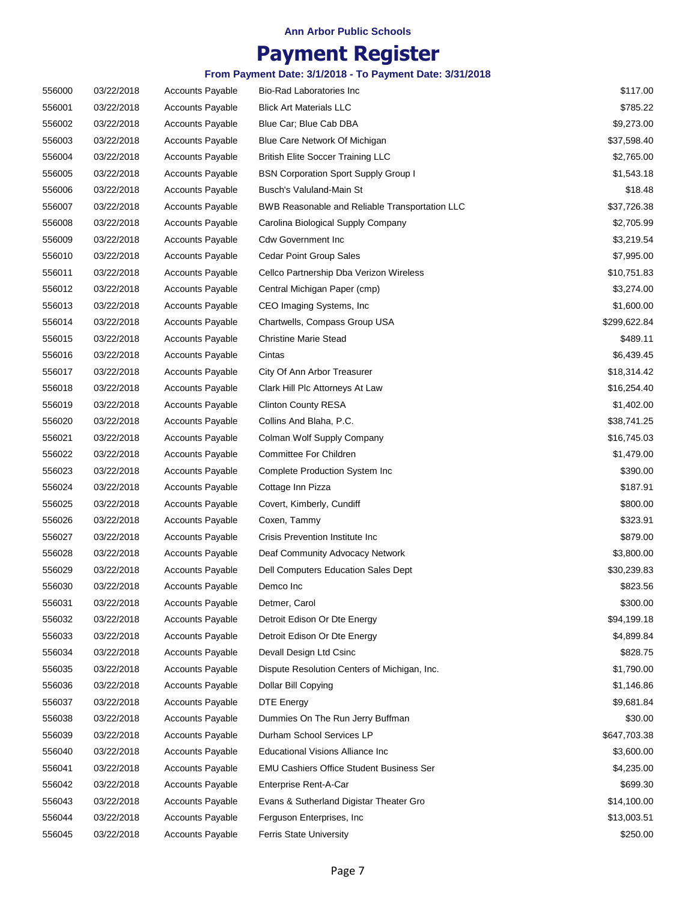## **Payment Register**

| 556000 | 03/22/2018 | <b>Accounts Payable</b> | Bio-Rad Laboratories Inc                        | \$117.00     |
|--------|------------|-------------------------|-------------------------------------------------|--------------|
| 556001 | 03/22/2018 | <b>Accounts Payable</b> | <b>Blick Art Materials LLC</b>                  | \$785.22     |
| 556002 | 03/22/2018 | <b>Accounts Payable</b> | Blue Car; Blue Cab DBA                          | \$9,273.00   |
| 556003 | 03/22/2018 | <b>Accounts Payable</b> | Blue Care Network Of Michigan                   | \$37,598.40  |
| 556004 | 03/22/2018 | <b>Accounts Payable</b> | <b>British Elite Soccer Training LLC</b>        | \$2,765.00   |
| 556005 | 03/22/2018 | <b>Accounts Payable</b> | <b>BSN Corporation Sport Supply Group I</b>     | \$1,543.18   |
| 556006 | 03/22/2018 | <b>Accounts Payable</b> | Busch's Valuland-Main St                        | \$18.48      |
| 556007 | 03/22/2018 | <b>Accounts Payable</b> | BWB Reasonable and Reliable Transportation LLC  | \$37,726.38  |
| 556008 | 03/22/2018 | <b>Accounts Payable</b> | Carolina Biological Supply Company              | \$2,705.99   |
| 556009 | 03/22/2018 | <b>Accounts Payable</b> | <b>Cdw Government Inc.</b>                      | \$3,219.54   |
| 556010 | 03/22/2018 | <b>Accounts Payable</b> | <b>Cedar Point Group Sales</b>                  | \$7,995.00   |
| 556011 | 03/22/2018 | <b>Accounts Payable</b> | Cellco Partnership Dba Verizon Wireless         | \$10,751.83  |
| 556012 | 03/22/2018 | <b>Accounts Payable</b> | Central Michigan Paper (cmp)                    | \$3,274.00   |
| 556013 | 03/22/2018 | <b>Accounts Payable</b> | CEO Imaging Systems, Inc.                       | \$1,600.00   |
| 556014 | 03/22/2018 | <b>Accounts Payable</b> | Chartwells, Compass Group USA                   | \$299,622.84 |
| 556015 | 03/22/2018 | <b>Accounts Payable</b> | <b>Christine Marie Stead</b>                    | \$489.11     |
| 556016 | 03/22/2018 | <b>Accounts Payable</b> | Cintas                                          | \$6,439.45   |
| 556017 | 03/22/2018 | <b>Accounts Payable</b> | City Of Ann Arbor Treasurer                     | \$18,314.42  |
| 556018 | 03/22/2018 | <b>Accounts Payable</b> | Clark Hill Plc Attorneys At Law                 | \$16,254.40  |
| 556019 | 03/22/2018 | <b>Accounts Payable</b> | <b>Clinton County RESA</b>                      | \$1,402.00   |
| 556020 | 03/22/2018 | <b>Accounts Payable</b> | Collins And Blaha, P.C.                         | \$38,741.25  |
| 556021 | 03/22/2018 | <b>Accounts Payable</b> | Colman Wolf Supply Company                      | \$16,745.03  |
| 556022 | 03/22/2018 | <b>Accounts Payable</b> | Committee For Children                          | \$1,479.00   |
| 556023 | 03/22/2018 | <b>Accounts Payable</b> | Complete Production System Inc                  | \$390.00     |
| 556024 | 03/22/2018 | <b>Accounts Payable</b> | Cottage Inn Pizza                               | \$187.91     |
| 556025 | 03/22/2018 | <b>Accounts Payable</b> | Covert, Kimberly, Cundiff                       | \$800.00     |
| 556026 | 03/22/2018 | <b>Accounts Payable</b> | Coxen, Tammy                                    | \$323.91     |
| 556027 | 03/22/2018 | <b>Accounts Payable</b> | Crisis Prevention Institute Inc                 | \$879.00     |
| 556028 | 03/22/2018 | <b>Accounts Payable</b> | Deaf Community Advocacy Network                 | \$3,800.00   |
| 556029 | 03/22/2018 | <b>Accounts Payable</b> | Dell Computers Education Sales Dept             | \$30,239.83  |
| 556030 | 03/22/2018 | <b>Accounts Payable</b> | Demco Inc                                       | \$823.56     |
| 556031 | 03/22/2018 | <b>Accounts Payable</b> | Detmer, Carol                                   | \$300.00     |
| 556032 | 03/22/2018 | <b>Accounts Payable</b> | Detroit Edison Or Dte Energy                    | \$94,199.18  |
| 556033 | 03/22/2018 | <b>Accounts Payable</b> | Detroit Edison Or Dte Energy                    | \$4,899.84   |
| 556034 | 03/22/2018 | <b>Accounts Payable</b> | Devall Design Ltd Csinc                         | \$828.75     |
| 556035 | 03/22/2018 | <b>Accounts Payable</b> | Dispute Resolution Centers of Michigan, Inc.    | \$1,790.00   |
| 556036 | 03/22/2018 | <b>Accounts Payable</b> | Dollar Bill Copying                             | \$1,146.86   |
| 556037 | 03/22/2018 | <b>Accounts Payable</b> | <b>DTE Energy</b>                               | \$9,681.84   |
| 556038 | 03/22/2018 | <b>Accounts Payable</b> | Dummies On The Run Jerry Buffman                | \$30.00      |
| 556039 | 03/22/2018 | <b>Accounts Payable</b> | Durham School Services LP                       | \$647,703.38 |
| 556040 | 03/22/2018 | <b>Accounts Payable</b> | <b>Educational Visions Alliance Inc</b>         | \$3,600.00   |
| 556041 | 03/22/2018 | <b>Accounts Payable</b> | <b>EMU Cashiers Office Student Business Ser</b> | \$4,235.00   |
| 556042 | 03/22/2018 | <b>Accounts Payable</b> | Enterprise Rent-A-Car                           | \$699.30     |
| 556043 | 03/22/2018 | <b>Accounts Payable</b> | Evans & Sutherland Digistar Theater Gro         | \$14,100.00  |
| 556044 | 03/22/2018 | <b>Accounts Payable</b> | Ferguson Enterprises, Inc.                      | \$13,003.51  |
| 556045 | 03/22/2018 | <b>Accounts Payable</b> | Ferris State University                         | \$250.00     |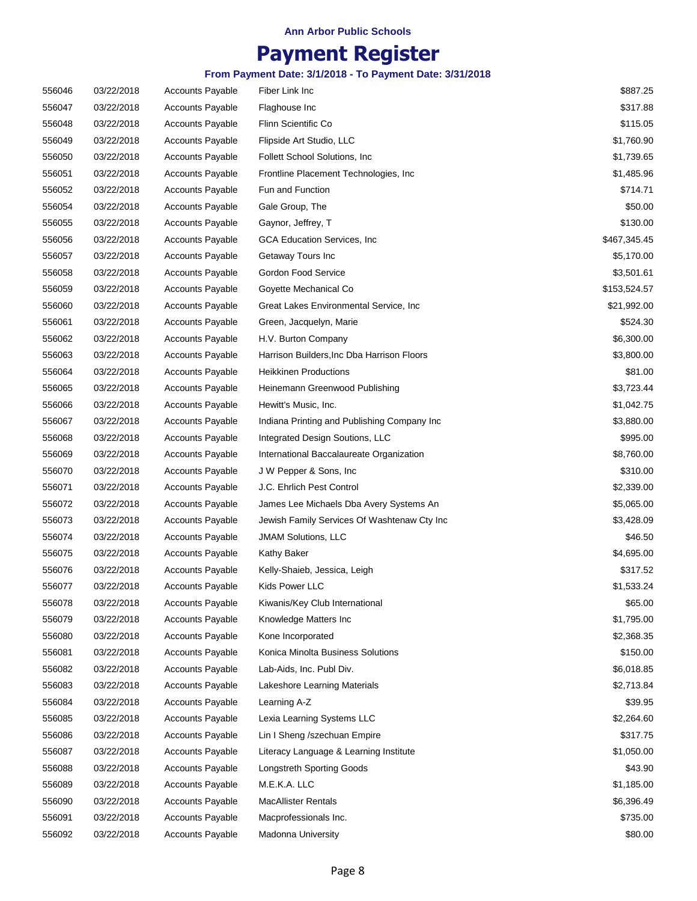## **Payment Register**

| 556046 | 03/22/2018 | <b>Accounts Payable</b> | Fiber Link Inc                              | \$887.25     |
|--------|------------|-------------------------|---------------------------------------------|--------------|
| 556047 | 03/22/2018 | <b>Accounts Payable</b> | Flaghouse Inc                               | \$317.88     |
| 556048 | 03/22/2018 | <b>Accounts Payable</b> | Flinn Scientific Co                         | \$115.05     |
| 556049 | 03/22/2018 | <b>Accounts Payable</b> | Flipside Art Studio, LLC                    | \$1,760.90   |
| 556050 | 03/22/2018 | <b>Accounts Payable</b> | Follett School Solutions, Inc.              | \$1,739.65   |
| 556051 | 03/22/2018 | <b>Accounts Payable</b> | Frontline Placement Technologies, Inc.      | \$1,485.96   |
| 556052 | 03/22/2018 | <b>Accounts Payable</b> | Fun and Function                            | \$714.71     |
| 556054 | 03/22/2018 | <b>Accounts Payable</b> | Gale Group, The                             | \$50.00      |
| 556055 | 03/22/2018 | <b>Accounts Payable</b> | Gaynor, Jeffrey, T                          | \$130.00     |
| 556056 | 03/22/2018 | <b>Accounts Payable</b> | GCA Education Services, Inc.                | \$467,345.45 |
| 556057 | 03/22/2018 | <b>Accounts Payable</b> | Getaway Tours Inc                           | \$5,170.00   |
| 556058 | 03/22/2018 | <b>Accounts Payable</b> | Gordon Food Service                         | \$3,501.61   |
| 556059 | 03/22/2018 | <b>Accounts Payable</b> | Goyette Mechanical Co                       | \$153,524.57 |
| 556060 | 03/22/2018 | <b>Accounts Payable</b> | Great Lakes Environmental Service, Inc.     | \$21,992.00  |
| 556061 | 03/22/2018 | <b>Accounts Payable</b> | Green, Jacquelyn, Marie                     | \$524.30     |
| 556062 | 03/22/2018 | <b>Accounts Payable</b> | H.V. Burton Company                         | \$6,300.00   |
| 556063 | 03/22/2018 | <b>Accounts Payable</b> | Harrison Builders, Inc Dba Harrison Floors  | \$3,800.00   |
| 556064 | 03/22/2018 | <b>Accounts Payable</b> | <b>Heikkinen Productions</b>                | \$81.00      |
| 556065 | 03/22/2018 | <b>Accounts Payable</b> | Heinemann Greenwood Publishing              | \$3,723.44   |
| 556066 | 03/22/2018 | <b>Accounts Payable</b> | Hewitt's Music, Inc.                        | \$1,042.75   |
| 556067 | 03/22/2018 | <b>Accounts Payable</b> | Indiana Printing and Publishing Company Inc | \$3,880.00   |
| 556068 | 03/22/2018 | <b>Accounts Payable</b> | Integrated Design Soutions, LLC             | \$995.00     |
| 556069 | 03/22/2018 | <b>Accounts Payable</b> | International Baccalaureate Organization    | \$8,760.00   |
| 556070 | 03/22/2018 | <b>Accounts Payable</b> | J W Pepper & Sons, Inc.                     | \$310.00     |
| 556071 | 03/22/2018 | <b>Accounts Payable</b> | J.C. Ehrlich Pest Control                   | \$2,339.00   |
| 556072 | 03/22/2018 | <b>Accounts Payable</b> | James Lee Michaels Dba Avery Systems An     | \$5,065.00   |
| 556073 | 03/22/2018 | <b>Accounts Payable</b> | Jewish Family Services Of Washtenaw Cty Inc | \$3,428.09   |
| 556074 | 03/22/2018 | <b>Accounts Payable</b> | <b>JMAM Solutions, LLC</b>                  | \$46.50      |
| 556075 | 03/22/2018 | <b>Accounts Payable</b> | Kathy Baker                                 | \$4,695.00   |
| 556076 | 03/22/2018 | <b>Accounts Payable</b> | Kelly-Shaieb, Jessica, Leigh                | \$317.52     |
| 556077 | 03/22/2018 | <b>Accounts Payable</b> | Kids Power LLC                              | \$1,533.24   |
| 556078 | 03/22/2018 | <b>Accounts Payable</b> | Kiwanis/Key Club International              | \$65.00      |
| 556079 | 03/22/2018 | <b>Accounts Payable</b> | Knowledge Matters Inc                       | \$1,795.00   |
| 556080 | 03/22/2018 | <b>Accounts Payable</b> | Kone Incorporated                           | \$2,368.35   |
| 556081 | 03/22/2018 | <b>Accounts Payable</b> | Konica Minolta Business Solutions           | \$150.00     |
| 556082 | 03/22/2018 | <b>Accounts Payable</b> | Lab-Aids, Inc. Publ Div.                    | \$6,018.85   |
| 556083 | 03/22/2018 | <b>Accounts Payable</b> | Lakeshore Learning Materials                | \$2,713.84   |
| 556084 | 03/22/2018 | <b>Accounts Payable</b> | Learning A-Z                                | \$39.95      |
| 556085 | 03/22/2018 | <b>Accounts Payable</b> | Lexia Learning Systems LLC                  | \$2,264.60   |
| 556086 | 03/22/2018 | <b>Accounts Payable</b> | Lin I Sheng /szechuan Empire                | \$317.75     |
| 556087 | 03/22/2018 | <b>Accounts Payable</b> | Literacy Language & Learning Institute      | \$1,050.00   |
| 556088 | 03/22/2018 | <b>Accounts Payable</b> | <b>Longstreth Sporting Goods</b>            | \$43.90      |
| 556089 | 03/22/2018 | <b>Accounts Payable</b> | M.E.K.A. LLC                                | \$1,185.00   |
| 556090 | 03/22/2018 | <b>Accounts Payable</b> | <b>MacAllister Rentals</b>                  | \$6,396.49   |
| 556091 | 03/22/2018 | <b>Accounts Payable</b> | Macprofessionals Inc.                       | \$735.00     |
| 556092 | 03/22/2018 | <b>Accounts Payable</b> | Madonna University                          | \$80.00      |
|        |            |                         |                                             |              |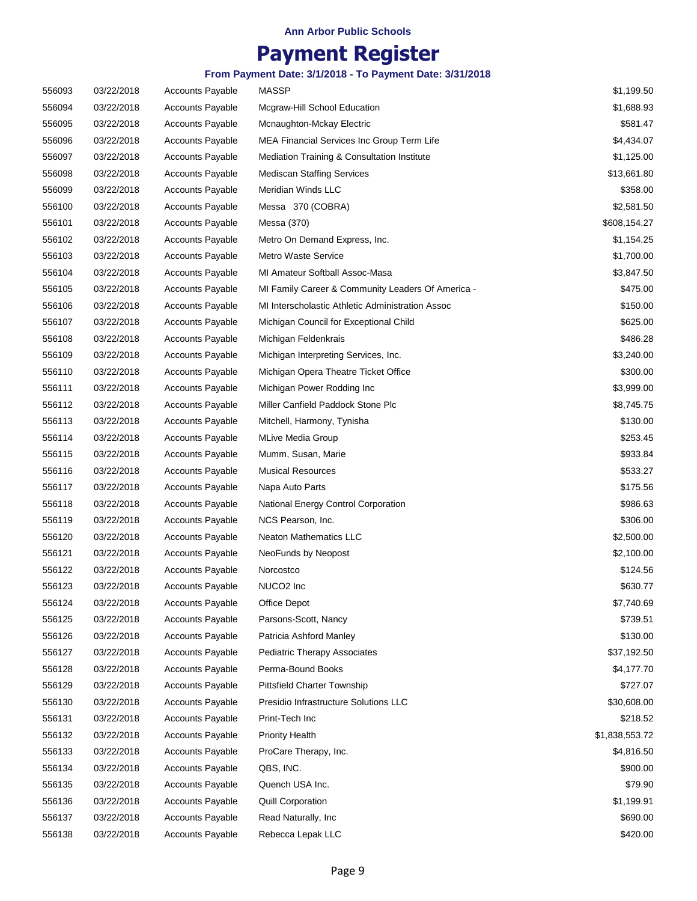## **Payment Register**

| 556093 | 03/22/2018 | <b>Accounts Payable</b> | <b>MASSP</b>                                      | \$1,199.50     |
|--------|------------|-------------------------|---------------------------------------------------|----------------|
| 556094 | 03/22/2018 | <b>Accounts Payable</b> | Mcgraw-Hill School Education                      | \$1,688.93     |
| 556095 | 03/22/2018 | <b>Accounts Payable</b> | Mcnaughton-Mckay Electric                         | \$581.47       |
| 556096 | 03/22/2018 | <b>Accounts Payable</b> | MEA Financial Services Inc Group Term Life        | \$4,434.07     |
| 556097 | 03/22/2018 | <b>Accounts Payable</b> | Mediation Training & Consultation Institute       | \$1,125.00     |
| 556098 | 03/22/2018 | <b>Accounts Payable</b> | <b>Mediscan Staffing Services</b>                 | \$13,661.80    |
| 556099 | 03/22/2018 | <b>Accounts Payable</b> | Meridian Winds LLC                                | \$358.00       |
| 556100 | 03/22/2018 | <b>Accounts Payable</b> | Messa 370 (COBRA)                                 | \$2,581.50     |
| 556101 | 03/22/2018 | <b>Accounts Payable</b> | Messa (370)                                       | \$608,154.27   |
| 556102 | 03/22/2018 | <b>Accounts Payable</b> | Metro On Demand Express, Inc.                     | \$1,154.25     |
| 556103 | 03/22/2018 | <b>Accounts Payable</b> | <b>Metro Waste Service</b>                        | \$1,700.00     |
| 556104 | 03/22/2018 | <b>Accounts Payable</b> | MI Amateur Softball Assoc-Masa                    | \$3,847.50     |
| 556105 | 03/22/2018 | <b>Accounts Payable</b> | MI Family Career & Community Leaders Of America - | \$475.00       |
| 556106 | 03/22/2018 | <b>Accounts Payable</b> | MI Interscholastic Athletic Administration Assoc  | \$150.00       |
| 556107 | 03/22/2018 | <b>Accounts Payable</b> | Michigan Council for Exceptional Child            | \$625.00       |
| 556108 | 03/22/2018 | <b>Accounts Payable</b> | Michigan Feldenkrais                              | \$486.28       |
| 556109 | 03/22/2018 | <b>Accounts Payable</b> | Michigan Interpreting Services, Inc.              | \$3,240.00     |
| 556110 | 03/22/2018 | <b>Accounts Payable</b> | Michigan Opera Theatre Ticket Office              | \$300.00       |
| 556111 | 03/22/2018 | <b>Accounts Payable</b> | Michigan Power Rodding Inc                        | \$3,999.00     |
| 556112 | 03/22/2018 | <b>Accounts Payable</b> | Miller Canfield Paddock Stone Plc                 | \$8,745.75     |
| 556113 | 03/22/2018 | <b>Accounts Payable</b> | Mitchell, Harmony, Tynisha                        | \$130.00       |
| 556114 | 03/22/2018 | <b>Accounts Payable</b> | MLive Media Group                                 | \$253.45       |
| 556115 | 03/22/2018 | <b>Accounts Payable</b> | Mumm, Susan, Marie                                | \$933.84       |
| 556116 | 03/22/2018 | <b>Accounts Payable</b> | <b>Musical Resources</b>                          | \$533.27       |
| 556117 | 03/22/2018 | <b>Accounts Payable</b> | Napa Auto Parts                                   | \$175.56       |
| 556118 | 03/22/2018 | <b>Accounts Payable</b> | National Energy Control Corporation               | \$986.63       |
| 556119 | 03/22/2018 | <b>Accounts Payable</b> | NCS Pearson, Inc.                                 | \$306.00       |
| 556120 | 03/22/2018 | <b>Accounts Payable</b> | <b>Neaton Mathematics LLC</b>                     | \$2,500.00     |
| 556121 | 03/22/2018 | <b>Accounts Payable</b> | NeoFunds by Neopost                               | \$2,100.00     |
| 556122 | 03/22/2018 | <b>Accounts Payable</b> | Norcostco                                         | \$124.56       |
| 556123 | 03/22/2018 | <b>Accounts Payable</b> | NUCO <sub>2</sub> Inc                             | \$630.77       |
| 556124 | 03/22/2018 | <b>Accounts Payable</b> | Office Depot                                      | \$7,740.69     |
| 556125 | 03/22/2018 | <b>Accounts Payable</b> | Parsons-Scott, Nancy                              | \$739.51       |
| 556126 | 03/22/2018 | <b>Accounts Payable</b> | Patricia Ashford Manley                           | \$130.00       |
| 556127 | 03/22/2018 | <b>Accounts Payable</b> | <b>Pediatric Therapy Associates</b>               | \$37,192.50    |
| 556128 | 03/22/2018 | <b>Accounts Payable</b> | Perma-Bound Books                                 | \$4,177.70     |
| 556129 | 03/22/2018 | <b>Accounts Payable</b> | <b>Pittsfield Charter Township</b>                | \$727.07       |
| 556130 | 03/22/2018 | <b>Accounts Payable</b> | Presidio Infrastructure Solutions LLC             | \$30,608.00    |
| 556131 | 03/22/2018 | <b>Accounts Payable</b> | Print-Tech Inc                                    | \$218.52       |
| 556132 | 03/22/2018 | <b>Accounts Payable</b> | <b>Priority Health</b>                            | \$1,838,553.72 |
| 556133 | 03/22/2018 | <b>Accounts Payable</b> | ProCare Therapy, Inc.                             | \$4,816.50     |
| 556134 | 03/22/2018 | <b>Accounts Payable</b> | QBS, INC.                                         | \$900.00       |
| 556135 | 03/22/2018 | <b>Accounts Payable</b> | Quench USA Inc.                                   | \$79.90        |
| 556136 | 03/22/2018 | <b>Accounts Payable</b> | Quill Corporation                                 | \$1,199.91     |
| 556137 | 03/22/2018 | <b>Accounts Payable</b> | Read Naturally, Inc                               | \$690.00       |
| 556138 | 03/22/2018 | <b>Accounts Payable</b> | Rebecca Lepak LLC                                 | \$420.00       |
|        |            |                         |                                                   |                |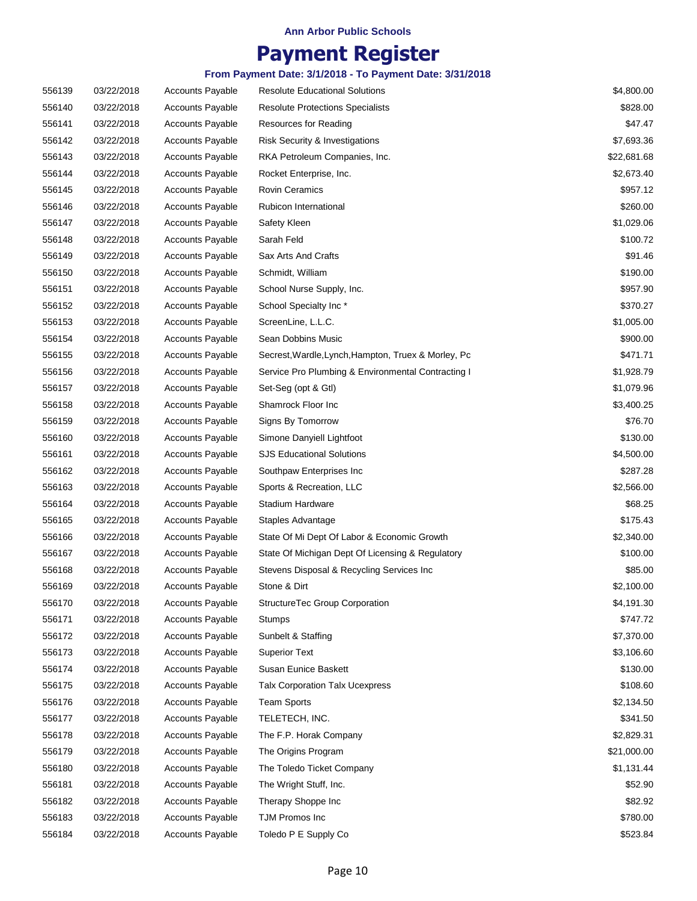## **Payment Register**

| 556139 | 03/22/2018 | <b>Accounts Payable</b> | <b>Resolute Educational Solutions</b>               | \$4,800.00  |
|--------|------------|-------------------------|-----------------------------------------------------|-------------|
| 556140 | 03/22/2018 | <b>Accounts Payable</b> | <b>Resolute Protections Specialists</b>             | \$828.00    |
| 556141 | 03/22/2018 | <b>Accounts Payable</b> | Resources for Reading                               | \$47.47     |
| 556142 | 03/22/2018 | <b>Accounts Payable</b> | Risk Security & Investigations                      | \$7,693.36  |
| 556143 | 03/22/2018 | <b>Accounts Payable</b> | RKA Petroleum Companies, Inc.                       | \$22,681.68 |
| 556144 | 03/22/2018 | <b>Accounts Payable</b> | Rocket Enterprise, Inc.                             | \$2,673.40  |
| 556145 | 03/22/2018 | <b>Accounts Payable</b> | <b>Rovin Ceramics</b>                               | \$957.12    |
| 556146 | 03/22/2018 | <b>Accounts Payable</b> | Rubicon International                               | \$260.00    |
| 556147 | 03/22/2018 | <b>Accounts Payable</b> | Safety Kleen                                        | \$1,029.06  |
| 556148 | 03/22/2018 | <b>Accounts Payable</b> | Sarah Feld                                          | \$100.72    |
| 556149 | 03/22/2018 | <b>Accounts Payable</b> | Sax Arts And Crafts                                 | \$91.46     |
| 556150 | 03/22/2018 | <b>Accounts Payable</b> | Schmidt, William                                    | \$190.00    |
| 556151 | 03/22/2018 | <b>Accounts Payable</b> | School Nurse Supply, Inc.                           | \$957.90    |
| 556152 | 03/22/2018 | <b>Accounts Payable</b> | School Specialty Inc*                               | \$370.27    |
| 556153 | 03/22/2018 | <b>Accounts Payable</b> | ScreenLine, L.L.C.                                  | \$1,005.00  |
| 556154 | 03/22/2018 | <b>Accounts Payable</b> | Sean Dobbins Music                                  | \$900.00    |
| 556155 | 03/22/2018 | <b>Accounts Payable</b> | Secrest, Wardle, Lynch, Hampton, Truex & Morley, Pc | \$471.71    |
| 556156 | 03/22/2018 | <b>Accounts Payable</b> | Service Pro Plumbing & Environmental Contracting I  | \$1,928.79  |
| 556157 | 03/22/2018 | <b>Accounts Payable</b> | Set-Seg (opt & Gtl)                                 | \$1,079.96  |
| 556158 | 03/22/2018 | <b>Accounts Payable</b> | Shamrock Floor Inc                                  | \$3,400.25  |
| 556159 | 03/22/2018 | <b>Accounts Payable</b> | Signs By Tomorrow                                   | \$76.70     |
| 556160 | 03/22/2018 | <b>Accounts Payable</b> | Simone Danyiell Lightfoot                           | \$130.00    |
| 556161 | 03/22/2018 | <b>Accounts Payable</b> | <b>SJS Educational Solutions</b>                    | \$4,500.00  |
| 556162 | 03/22/2018 | <b>Accounts Payable</b> | Southpaw Enterprises Inc                            | \$287.28    |
| 556163 | 03/22/2018 | <b>Accounts Payable</b> | Sports & Recreation, LLC                            | \$2,566.00  |
| 556164 | 03/22/2018 | <b>Accounts Payable</b> | Stadium Hardware                                    | \$68.25     |
| 556165 | 03/22/2018 | <b>Accounts Payable</b> | Staples Advantage                                   | \$175.43    |
| 556166 | 03/22/2018 | <b>Accounts Payable</b> | State Of Mi Dept Of Labor & Economic Growth         | \$2,340.00  |
| 556167 | 03/22/2018 | <b>Accounts Payable</b> | State Of Michigan Dept Of Licensing & Regulatory    | \$100.00    |
| 556168 | 03/22/2018 | <b>Accounts Payable</b> | Stevens Disposal & Recycling Services Inc           | \$85.00     |
| 556169 | 03/22/2018 | <b>Accounts Payable</b> | Stone & Dirt                                        | \$2,100.00  |
| 556170 | 03/22/2018 | <b>Accounts Payable</b> | StructureTec Group Corporation                      | \$4,191.30  |
| 556171 | 03/22/2018 | <b>Accounts Payable</b> | <b>Stumps</b>                                       | \$747.72    |
| 556172 | 03/22/2018 | <b>Accounts Payable</b> | Sunbelt & Staffing                                  | \$7,370.00  |
| 556173 | 03/22/2018 | <b>Accounts Payable</b> | <b>Superior Text</b>                                | \$3,106.60  |
| 556174 | 03/22/2018 | <b>Accounts Payable</b> | Susan Eunice Baskett                                | \$130.00    |
| 556175 | 03/22/2018 | Accounts Payable        | <b>Talx Corporation Talx Ucexpress</b>              | \$108.60    |
| 556176 | 03/22/2018 | <b>Accounts Payable</b> | <b>Team Sports</b>                                  | \$2,134.50  |
| 556177 | 03/22/2018 | <b>Accounts Payable</b> | TELETECH, INC.                                      | \$341.50    |
| 556178 | 03/22/2018 | <b>Accounts Payable</b> | The F.P. Horak Company                              | \$2,829.31  |
| 556179 | 03/22/2018 | <b>Accounts Payable</b> | The Origins Program                                 | \$21,000.00 |
| 556180 | 03/22/2018 | <b>Accounts Payable</b> | The Toledo Ticket Company                           | \$1,131.44  |
| 556181 | 03/22/2018 | <b>Accounts Payable</b> | The Wright Stuff, Inc.                              | \$52.90     |
| 556182 | 03/22/2018 | <b>Accounts Payable</b> | Therapy Shoppe Inc                                  | \$82.92     |
| 556183 | 03/22/2018 | Accounts Payable        | TJM Promos Inc                                      | \$780.00    |
| 556184 | 03/22/2018 | <b>Accounts Payable</b> | Toledo P E Supply Co                                | \$523.84    |
|        |            |                         |                                                     |             |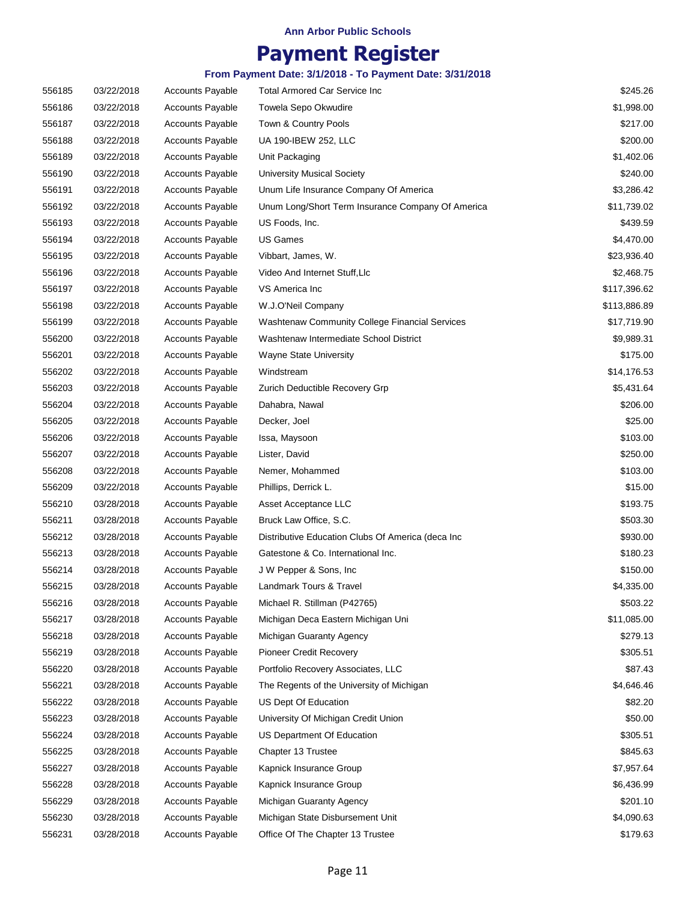## **Payment Register**

| 556185 | 03/22/2018 | <b>Accounts Payable</b> | Total Armored Car Service Inc                      | \$245.26     |
|--------|------------|-------------------------|----------------------------------------------------|--------------|
| 556186 | 03/22/2018 | <b>Accounts Payable</b> | Towela Sepo Okwudire                               | \$1,998.00   |
| 556187 | 03/22/2018 | <b>Accounts Payable</b> | Town & Country Pools                               | \$217.00     |
| 556188 | 03/22/2018 | <b>Accounts Payable</b> | UA 190-IBEW 252, LLC                               | \$200.00     |
| 556189 | 03/22/2018 | <b>Accounts Payable</b> | Unit Packaging                                     | \$1,402.06   |
| 556190 | 03/22/2018 | <b>Accounts Payable</b> | <b>University Musical Society</b>                  | \$240.00     |
| 556191 | 03/22/2018 | <b>Accounts Payable</b> | Unum Life Insurance Company Of America             | \$3,286.42   |
| 556192 | 03/22/2018 | <b>Accounts Payable</b> | Unum Long/Short Term Insurance Company Of America  | \$11,739.02  |
| 556193 | 03/22/2018 | <b>Accounts Payable</b> | US Foods, Inc.                                     | \$439.59     |
| 556194 | 03/22/2018 | <b>Accounts Payable</b> | <b>US Games</b>                                    | \$4,470.00   |
| 556195 | 03/22/2018 | <b>Accounts Payable</b> | Vibbart, James, W.                                 | \$23,936.40  |
| 556196 | 03/22/2018 | <b>Accounts Payable</b> | Video And Internet Stuff, Llc                      | \$2,468.75   |
| 556197 | 03/22/2018 | <b>Accounts Payable</b> | VS America Inc                                     | \$117,396.62 |
| 556198 | 03/22/2018 | <b>Accounts Payable</b> | W.J.O'Neil Company                                 | \$113,886.89 |
| 556199 | 03/22/2018 | <b>Accounts Payable</b> | Washtenaw Community College Financial Services     | \$17,719.90  |
| 556200 | 03/22/2018 | <b>Accounts Payable</b> | Washtenaw Intermediate School District             | \$9,989.31   |
| 556201 | 03/22/2018 | <b>Accounts Payable</b> | <b>Wayne State University</b>                      | \$175.00     |
| 556202 | 03/22/2018 | <b>Accounts Payable</b> | Windstream                                         | \$14,176.53  |
| 556203 | 03/22/2018 | <b>Accounts Payable</b> | Zurich Deductible Recovery Grp                     | \$5,431.64   |
| 556204 | 03/22/2018 | <b>Accounts Payable</b> | Dahabra, Nawal                                     | \$206.00     |
| 556205 | 03/22/2018 | <b>Accounts Payable</b> | Decker, Joel                                       | \$25.00      |
| 556206 | 03/22/2018 | <b>Accounts Payable</b> | Issa, Maysoon                                      | \$103.00     |
| 556207 | 03/22/2018 | <b>Accounts Payable</b> | Lister, David                                      | \$250.00     |
| 556208 | 03/22/2018 | <b>Accounts Payable</b> | Nemer, Mohammed                                    | \$103.00     |
| 556209 | 03/22/2018 | <b>Accounts Payable</b> | Phillips, Derrick L.                               | \$15.00      |
| 556210 | 03/28/2018 | <b>Accounts Payable</b> | Asset Acceptance LLC                               | \$193.75     |
| 556211 | 03/28/2018 | <b>Accounts Payable</b> | Bruck Law Office, S.C.                             | \$503.30     |
| 556212 | 03/28/2018 | <b>Accounts Payable</b> | Distributive Education Clubs Of America (deca Inc. | \$930.00     |
| 556213 | 03/28/2018 | <b>Accounts Payable</b> | Gatestone & Co. International Inc.                 | \$180.23     |
| 556214 | 03/28/2018 | <b>Accounts Payable</b> | J W Pepper & Sons, Inc                             | \$150.00     |
| 556215 | 03/28/2018 | <b>Accounts Payable</b> | Landmark Tours & Travel                            | \$4,335.00   |
| 556216 | 03/28/2018 | <b>Accounts Payable</b> | Michael R. Stillman (P42765)                       | \$503.22     |
| 556217 | 03/28/2018 | Accounts Payable        | Michigan Deca Eastern Michigan Uni                 | \$11,085.00  |
| 556218 | 03/28/2018 | <b>Accounts Payable</b> | Michigan Guaranty Agency                           | \$279.13     |
| 556219 | 03/28/2018 | <b>Accounts Payable</b> | <b>Pioneer Credit Recovery</b>                     | \$305.51     |
| 556220 | 03/28/2018 | <b>Accounts Payable</b> | Portfolio Recovery Associates, LLC                 | \$87.43      |
| 556221 | 03/28/2018 | Accounts Payable        | The Regents of the University of Michigan          | \$4,646.46   |
| 556222 | 03/28/2018 | <b>Accounts Payable</b> | US Dept Of Education                               | \$82.20      |
| 556223 | 03/28/2018 | <b>Accounts Payable</b> | University Of Michigan Credit Union                | \$50.00      |
| 556224 | 03/28/2018 | <b>Accounts Payable</b> | US Department Of Education                         | \$305.51     |
| 556225 | 03/28/2018 | <b>Accounts Payable</b> | Chapter 13 Trustee                                 | \$845.63     |
| 556227 | 03/28/2018 | <b>Accounts Payable</b> | Kapnick Insurance Group                            | \$7,957.64   |
| 556228 | 03/28/2018 | <b>Accounts Payable</b> | Kapnick Insurance Group                            | \$6,436.99   |
| 556229 | 03/28/2018 | <b>Accounts Payable</b> | Michigan Guaranty Agency                           | \$201.10     |
| 556230 | 03/28/2018 | <b>Accounts Payable</b> | Michigan State Disbursement Unit                   | \$4,090.63   |
| 556231 | 03/28/2018 | <b>Accounts Payable</b> | Office Of The Chapter 13 Trustee                   | \$179.63     |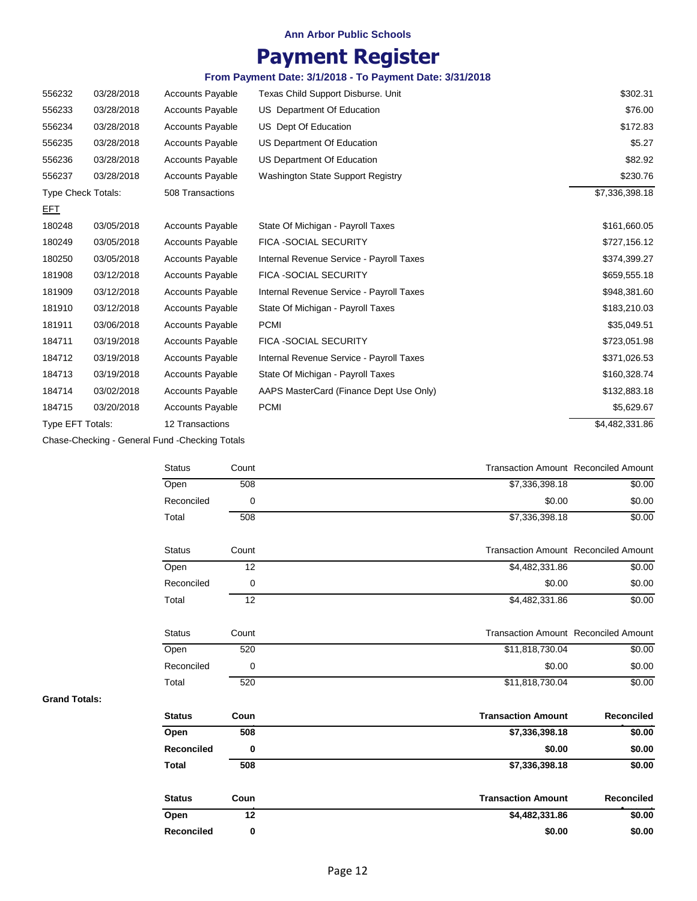# **Payment Register**

### **From Payment Date: 3/1/2018 - To Payment Date: 3/31/2018**

| 556232                    | 03/28/2018 | <b>Accounts Payable</b> | Texas Child Support Disburse. Unit       | \$302.31       |
|---------------------------|------------|-------------------------|------------------------------------------|----------------|
| 556233                    | 03/28/2018 | <b>Accounts Payable</b> | US Department Of Education               | \$76.00        |
| 556234                    | 03/28/2018 | <b>Accounts Payable</b> | US Dept Of Education                     | \$172.83       |
| 556235                    | 03/28/2018 | <b>Accounts Payable</b> | US Department Of Education               | \$5.27         |
| 556236                    | 03/28/2018 | <b>Accounts Payable</b> | US Department Of Education               | \$82.92        |
| 556237                    | 03/28/2018 | <b>Accounts Payable</b> | <b>Washington State Support Registry</b> | \$230.76       |
| <b>Type Check Totals:</b> |            | 508 Transactions        |                                          | \$7,336,398.18 |
| <b>EFT</b>                |            |                         |                                          |                |
| 180248                    | 03/05/2018 | <b>Accounts Payable</b> | State Of Michigan - Payroll Taxes        | \$161,660.05   |
| 180249                    | 03/05/2018 | <b>Accounts Payable</b> | <b>FICA -SOCIAL SECURITY</b>             | \$727,156.12   |
| 180250                    | 03/05/2018 | <b>Accounts Payable</b> | Internal Revenue Service - Payroll Taxes | \$374,399.27   |
| 181908                    | 03/12/2018 | <b>Accounts Payable</b> | FICA -SOCIAL SECURITY                    | \$659,555.18   |
| 181909                    | 03/12/2018 | <b>Accounts Payable</b> | Internal Revenue Service - Payroll Taxes | \$948,381.60   |
| 181910                    | 03/12/2018 | <b>Accounts Payable</b> | State Of Michigan - Payroll Taxes        | \$183,210.03   |
| 181911                    | 03/06/2018 | <b>Accounts Payable</b> | <b>PCMI</b>                              | \$35,049.51    |
| 184711                    | 03/19/2018 | <b>Accounts Payable</b> | FICA -SOCIAL SECURITY                    | \$723,051.98   |
| 184712                    | 03/19/2018 | <b>Accounts Payable</b> | Internal Revenue Service - Payroll Taxes | \$371,026.53   |
| 184713                    | 03/19/2018 | <b>Accounts Payable</b> | State Of Michigan - Payroll Taxes        | \$160,328.74   |
| 184714                    | 03/02/2018 | <b>Accounts Payable</b> | AAPS MasterCard (Finance Dept Use Only)  | \$132,883.18   |
| 184715                    | 03/20/2018 | <b>Accounts Payable</b> | <b>PCMI</b>                              | \$5,629.67     |
| Type EFT Totals:          |            | 12 Transactions         |                                          | \$4,482,331.86 |

Chase-Checking - General Fund -Checking Totals

| <b>Status</b> | Count | <b>Transaction Amount Reconciled Amount</b> |        |
|---------------|-------|---------------------------------------------|--------|
| Open          | 508   | \$7,336,398.18                              | \$0.00 |
| Reconciled    | 0     | \$0.00                                      | \$0.00 |
| Total         | 508   | \$7,336,398.18                              | \$0.00 |
| <b>Status</b> | Count | <b>Transaction Amount Reconciled Amount</b> |        |
| Open          | 12    | \$4,482,331.86                              | \$0.00 |
| Reconciled    | 0     | \$0.00                                      | \$0.00 |
| Total         | 12    | \$4,482,331.86                              | \$0.00 |
| <b>Status</b> | Count | <b>Transaction Amount Reconciled Amount</b> |        |
| Open          | 520   | \$11,818,730.04                             | \$0.00 |
| Reconciled    | 0     | \$0.00                                      | \$0.00 |
| Total         | 520   | \$11,818,730.04                             | \$0.00 |
|               |       |                                             |        |

**Grand Totals:**

| <b>Status</b>     | Coun | <b>Transaction Amount</b> | Reconciled |
|-------------------|------|---------------------------|------------|
| Open              | 508  | \$7,336,398.18            | \$0.00     |
| <b>Reconciled</b> | 0    | \$0.00                    | \$0.00     |
| <b>Total</b>      | 508  | \$7,336,398.18            | \$0.00     |
| <b>Status</b>     | Coun | <b>Transaction Amount</b> | Reconciled |
| Open              | 12   | \$4,482,331.86            | \$0.00     |
| Reconciled        | 0    | \$0.00                    | \$0.00     |